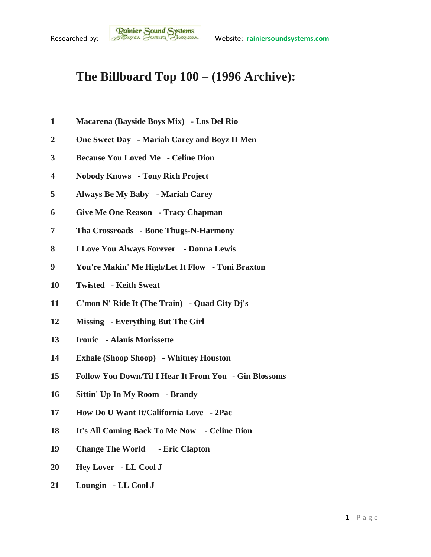## **The Billboard Top 100 – (1996 Archive):**

- **Macarena (Bayside Boys Mix) - Los Del Rio**
- **One Sweet Day - Mariah Carey and Boyz II Men**
- **Because You Loved Me - Celine Dion**
- **Nobody Knows - Tony Rich Project**
- **Always Be My Baby - Mariah Carey**
- **Give Me One Reason - Tracy Chapman**
- **Tha Crossroads - Bone Thugs-N-Harmony**
- **I Love You Always Forever - Donna Lewis**
- **You're Makin' Me High/Let It Flow - Toni Braxton**
- **Twisted - Keith Sweat**
- **C'mon N' Ride It (The Train) - Quad City Dj's**
- **Missing - Everything But The Girl**
- **Ironic - Alanis Morissette**
- **Exhale (Shoop Shoop) - Whitney Houston**
- **Follow You Down/Til I Hear It From You - Gin Blossoms**
- **Sittin' Up In My Room - Brandy**
- **How Do U Want It/California Love - 2Pac**
- **It's All Coming Back To Me Now - Celine Dion**
- **Change The World - Eric Clapton**
- **Hey Lover - LL Cool J**
- **Loungin - LL Cool J**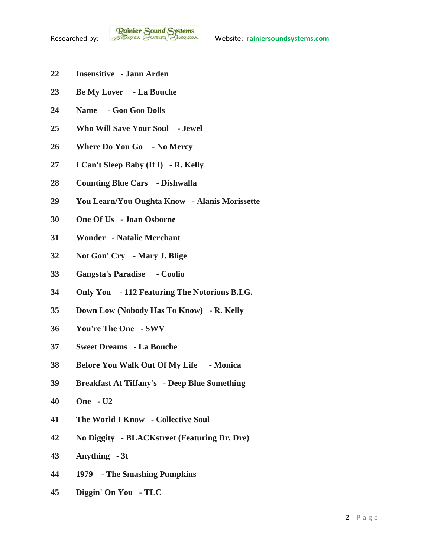- **Insensitive - Jann Arden**
- **Be My Lover - La Bouche**
- **Name - Goo Goo Dolls**
- **Who Will Save Your Soul - Jewel**
- **Where Do You Go - No Mercy**
- **I Can't Sleep Baby (If I) - R. Kelly**
- **Counting Blue Cars - Dishwalla**
- **You Learn/You Oughta Know - Alanis Morissette**
- **One Of Us - Joan Osborne**
- **Wonder - Natalie Merchant**
- **Not Gon' Cry - Mary J. Blige**
- **Gangsta's Paradise - Coolio**
- **Only You - 112 Featuring The Notorious B.I.G.**
- **Down Low (Nobody Has To Know) - R. Kelly**
- **You're The One - SWV**
- **Sweet Dreams - La Bouche**
- **Before You Walk Out Of My Life - Monica**
- **Breakfast At Tiffany's - Deep Blue Something**
- **One - U2**
- **The World I Know - Collective Soul**
- **No Diggity - BLACKstreet (Featuring Dr. Dre)**
- **Anything - 3t**
- **1979 - The Smashing Pumpkins**
- **Diggin' On You - TLC**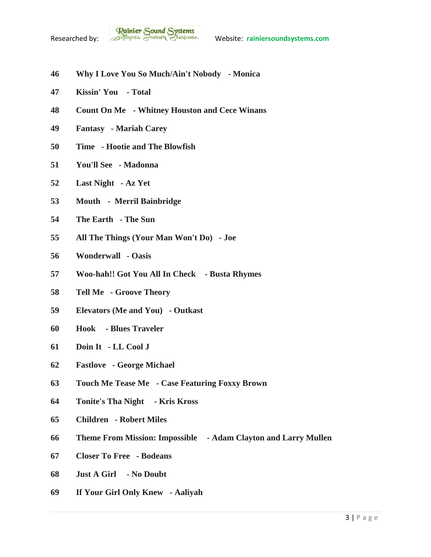- **Why I Love You So Much/Ain't Nobody - Monica**
- **Kissin' You - Total**
- **Count On Me - Whitney Houston and Cece Winans**
- **Fantasy - Mariah Carey**
- **Time - Hootie and The Blowfish**
- **You'll See - Madonna**
- **Last Night - Az Yet**
- **Mouth Merril Bainbridge**
- **The Earth - The Sun**
- **All The Things (Your Man Won't Do) - Joe**
- **Wonderwall - Oasis**
- **Woo-hah!! Got You All In Check - Busta Rhymes**
- **Tell Me - Groove Theory**
- **Elevators (Me and You) - Outkast**
- **Hook - Blues Traveler**
- **Doin It - LL Cool J**
- **Fastlove - George Michael**
- **Touch Me Tease Me - Case Featuring Foxxy Brown**
- **Tonite's Tha Night - Kris Kross**
- **Children - Robert Miles**
- **Theme From Mission: Impossible - Adam Clayton and Larry Mullen**
- **Closer To Free - Bodeans**
- **Just A Girl - No Doubt**
- **If Your Girl Only Knew - Aaliyah**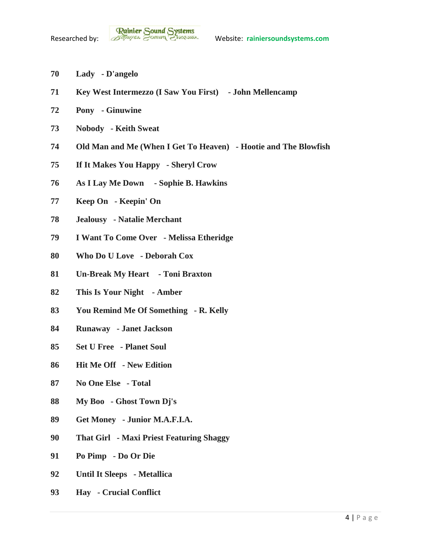- **Lady - D'angelo**
- **Key West Intermezzo (I Saw You First) - John Mellencamp**
- **Pony - Ginuwine**
- **Nobody - Keith Sweat**
- **Old Man and Me (When I Get To Heaven) - Hootie and The Blowfish**
- **If It Makes You Happy - Sheryl Crow**
- **As I Lay Me Down - Sophie B. Hawkins**
- **Keep On - Keepin' On**
- **Jealousy - Natalie Merchant**
- **I Want To Come Over - Melissa Etheridge**
- **Who Do U Love - Deborah Cox**
- **Un-Break My Heart - Toni Braxton**
- **This Is Your Night - Amber**
- **You Remind Me Of Something - R. Kelly**
- **Runaway - Janet Jackson**
- **Set U Free - Planet Soul**
- **Hit Me Off - New Edition**
- **No One Else - Total**
- **My Boo - Ghost Town Dj's**
- **Get Money - Junior M.A.F.I.A.**
- **That Girl - Maxi Priest Featuring Shaggy**
- **Po Pimp - Do Or Die**
- **Until It Sleeps - Metallica**
- **Hay - Crucial Conflict**